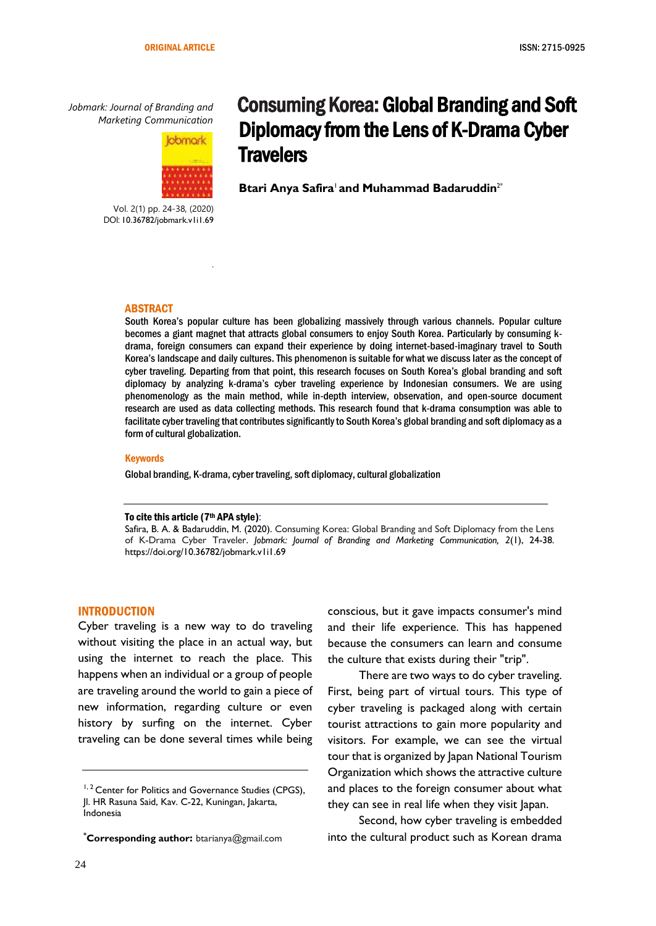*Jobmark: Journal of Branding and Marketing Communication*



.

Vol. 2(1) pp. 24-38, (2020) DOI: 10.36782/jobmark.v1i1.69

# Consuming Korea: Global Branding and Soft Diplomacy from the Lens of K-Drama Cyber **Travelers**

**Btari Anya Safira**1**and Muhammad Badaruddin**2\*

#### ABSTRACT

South Korea's popular culture has been globalizing massively through various channels. Popular culture becomes a giant magnet that attracts global consumers to enjoy South Korea. Particularly by consuming kdrama, foreign consumers can expand their experience by doing internet-based-imaginary travel to South Korea's landscape and daily cultures. This phenomenon is suitable for what we discuss later as the concept of cyber traveling. Departing from that point, this research focuses on South Korea's global branding and soft diplomacy by analyzing k-drama's cyber traveling experience by Indonesian consumers. We are using phenomenology as the main method, while in-depth interview, observation, and open-source document research are used as data collecting methods. This research found that k-drama consumption was able to facilitate cyber traveling that contributes significantly to South Korea's global branding and soft diplomacy as a form of cultural globalization.

#### Keywords

Global branding, K-drama, cyber traveling, soft diplomacy, cultural globalization

#### To cite this article (7th APA style):

Safira, B. A. & Badaruddin, M. (2020). Consuming Korea: Global Branding and Soft Diplomacy from the Lens of K-Drama Cyber Traveler. *Jobmark: Journal of Branding and Marketing Communication, 2*(1), 24-38. https://doi.org/10.36782/jobmark.v1i1.69

#### INTRODUCTION

Cyber traveling is a new way to do traveling without visiting the place in an actual way, but using the internet to reach the place. This happens when an individual or a group of people are traveling around the world to gain a piece of new information, regarding culture or even history by surfing on the internet. Cyber traveling can be done several times while being

**\*Corresponding author:** btarianya@gmail.com

conscious, but it gave impacts consumer's mind and their life experience. This has happened because the consumers can learn and consume the culture that exists during their "trip".

There are two ways to do cyber traveling. First, being part of virtual tours. This type of cyber traveling is packaged along with certain tourist attractions to gain more popularity and visitors. For example, we can see the virtual tour that is organized by Japan National Tourism Organization which shows the attractive culture and places to the foreign consumer about what they can see in real life when they visit Japan.

Second, how cyber traveling is embedded into the cultural product such as Korean drama

<sup>&</sup>lt;sup>1, 2</sup> Center for Politics and Governance Studies (CPGS), Jl. HR Rasuna Said, Kav. C-22, Kuningan, Jakarta, Indonesia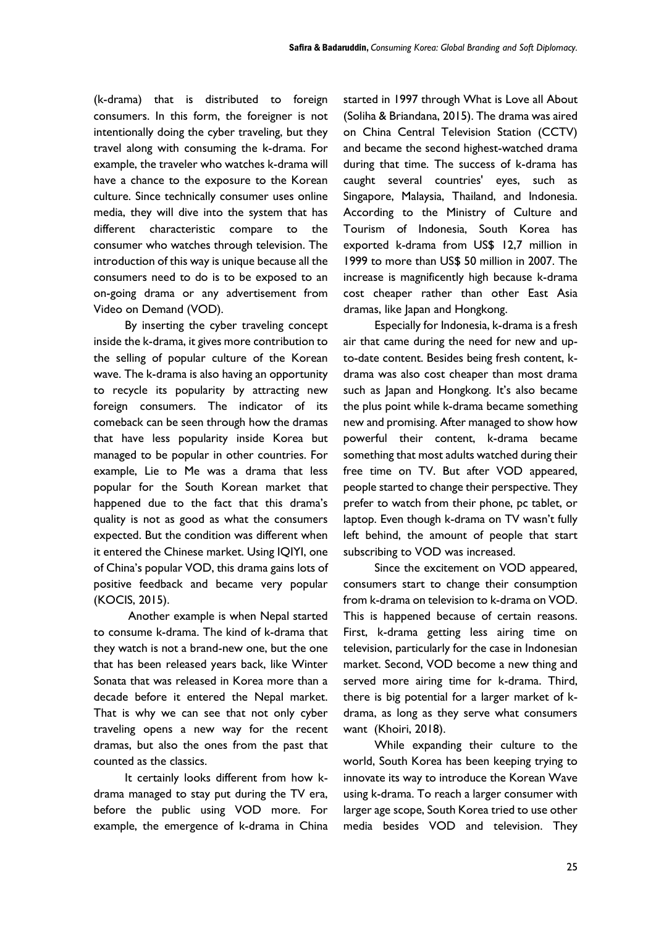(k-drama) that is distributed to foreign consumers. In this form, the foreigner is not intentionally doing the cyber traveling, but they travel along with consuming the k-drama. For example, the traveler who watches k-drama will have a chance to the exposure to the Korean culture. Since technically consumer uses online media, they will dive into the system that has different characteristic compare to the consumer who watches through television. The introduction of this way is unique because all the consumers need to do is to be exposed to an on-going drama or any advertisement from Video on Demand (VOD).

By inserting the cyber traveling concept inside the k-drama, it gives more contribution to the selling of popular culture of the Korean wave. The k-drama is also having an opportunity to recycle its popularity by attracting new foreign consumers. The indicator of its comeback can be seen through how the dramas that have less popularity inside Korea but managed to be popular in other countries. For example, Lie to Me was a drama that less popular for the South Korean market that happened due to the fact that this drama's quality is not as good as what the consumers expected. But the condition was different when it entered the Chinese market. Using IQIYI, one of China's popular VOD, this drama gains lots of positive feedback and became very popular (KOCIS, 2015).

Another example is when Nepal started to consume k-drama. The kind of k-drama that they watch is not a brand-new one, but the one that has been released years back, like Winter Sonata that was released in Korea more than a decade before it entered the Nepal market. That is why we can see that not only cyber traveling opens a new way for the recent dramas, but also the ones from the past that counted as the classics.

It certainly looks different from how kdrama managed to stay put during the TV era, before the public using VOD more. For example, the emergence of k-drama in China started in 1997 through What is Love all About (Soliha & Briandana, 2015). The drama was aired on China Central Television Station (CCTV) and became the second highest-watched drama during that time. The success of k-drama has caught several countries' eyes, such as Singapore, Malaysia, Thailand, and Indonesia. According to the Ministry of Culture and Tourism of Indonesia, South Korea has exported k-drama from US\$ 12,7 million in 1999 to more than US\$ 50 million in 2007. The increase is magnificently high because k-drama cost cheaper rather than other East Asia dramas, like Japan and Hongkong.

Especially for Indonesia, k-drama is a fresh air that came during the need for new and upto-date content. Besides being fresh content, kdrama was also cost cheaper than most drama such as Japan and Hongkong. It's also became the plus point while k-drama became something new and promising. After managed to show how powerful their content, k-drama became something that most adults watched during their free time on TV. But after VOD appeared, people started to change their perspective. They prefer to watch from their phone, pc tablet, or laptop. Even though k-drama on TV wasn't fully left behind, the amount of people that start subscribing to VOD was increased.

Since the excitement on VOD appeared, consumers start to change their consumption from k-drama on television to k-drama on VOD. This is happened because of certain reasons. First, k-drama getting less airing time on television, particularly for the case in Indonesian market. Second, VOD become a new thing and served more airing time for k-drama. Third, there is big potential for a larger market of kdrama, as long as they serve what consumers want (Khoiri, 2018).

While expanding their culture to the world, South Korea has been keeping trying to innovate its way to introduce the Korean Wave using k-drama. To reach a larger consumer with larger age scope, South Korea tried to use other media besides VOD and television. They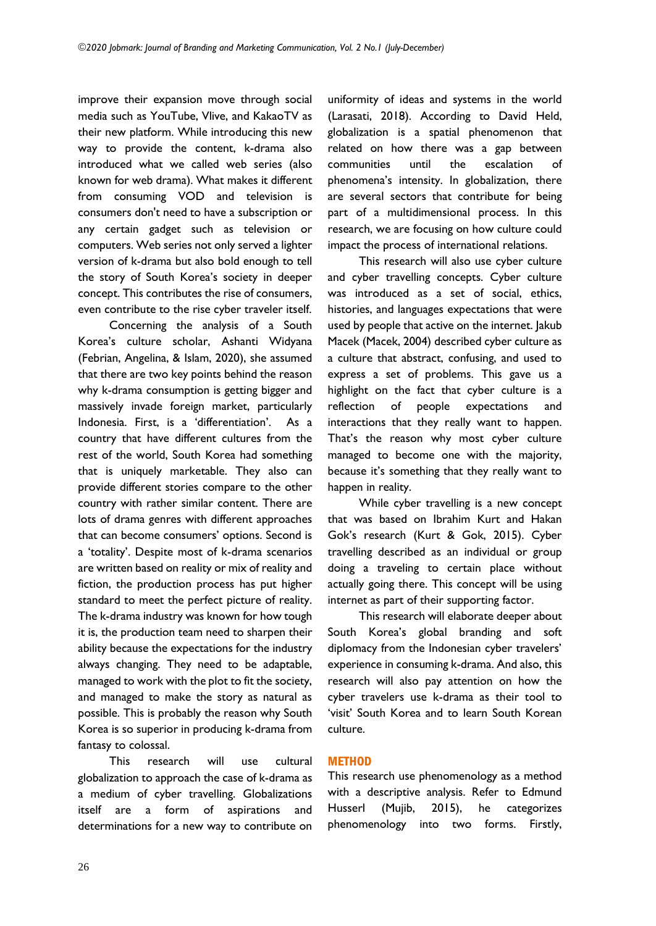improve their expansion move through social media such as YouTube, Vlive, and KakaoTV as their new platform. While introducing this new way to provide the content, k-drama also introduced what we called web series (also known for web drama). What makes it different from consuming VOD and television is consumers don't need to have a subscription or any certain gadget such as television or computers. Web series not only served a lighter version of k-drama but also bold enough to tell the story of South Korea's society in deeper concept. This contributes the rise of consumers, even contribute to the rise cyber traveler itself.

Concerning the analysis of a South Korea's culture scholar, Ashanti Widyana (Febrian, Angelina, & Islam, 2020), she assumed that there are two key points behind the reason why k-drama consumption is getting bigger and massively invade foreign market, particularly Indonesia. First, is a 'differentiation'. As a country that have different cultures from the rest of the world, South Korea had something that is uniquely marketable. They also can provide different stories compare to the other country with rather similar content. There are lots of drama genres with different approaches that can become consumers' options. Second is a 'totality'. Despite most of k-drama scenarios are written based on reality or mix of reality and fiction, the production process has put higher standard to meet the perfect picture of reality. The k-drama industry was known for how tough it is, the production team need to sharpen their ability because the expectations for the industry always changing. They need to be adaptable, managed to work with the plot to fit the society, and managed to make the story as natural as possible. This is probably the reason why South Korea is so superior in producing k-drama from fantasy to colossal.

This research will use cultural globalization to approach the case of k-drama as a medium of cyber travelling. Globalizations itself are a form of aspirations and determinations for a new way to contribute on uniformity of ideas and systems in the world (Larasati, 2018). According to David Held, globalization is a spatial phenomenon that related on how there was a gap between communities until the escalation of phenomena's intensity. In globalization, there are several sectors that contribute for being part of a multidimensional process. In this research, we are focusing on how culture could impact the process of international relations.

This research will also use cyber culture and cyber travelling concepts. Cyber culture was introduced as a set of social, ethics, histories, and languages expectations that were used by people that active on the internet. Jakub Macek (Macek, 2004) described cyber culture as a culture that abstract, confusing, and used to express a set of problems. This gave us a highlight on the fact that cyber culture is a reflection of people expectations and interactions that they really want to happen. That's the reason why most cyber culture managed to become one with the majority, because it's something that they really want to happen in reality.

While cyber travelling is a new concept that was based on Ibrahim Kurt and Hakan Gok's research (Kurt & Gok, 2015). Cyber travelling described as an individual or group doing a traveling to certain place without actually going there. This concept will be using internet as part of their supporting factor.

This research will elaborate deeper about South Korea's global branding and soft diplomacy from the Indonesian cyber travelers' experience in consuming k-drama. And also, this research will also pay attention on how the cyber travelers use k-drama as their tool to 'visit' South Korea and to learn South Korean culture.

# **METHOD**

This research use phenomenology as a method with a descriptive analysis. Refer to Edmund Husserl (Mujib, 2015), he categorizes phenomenology into two forms. Firstly,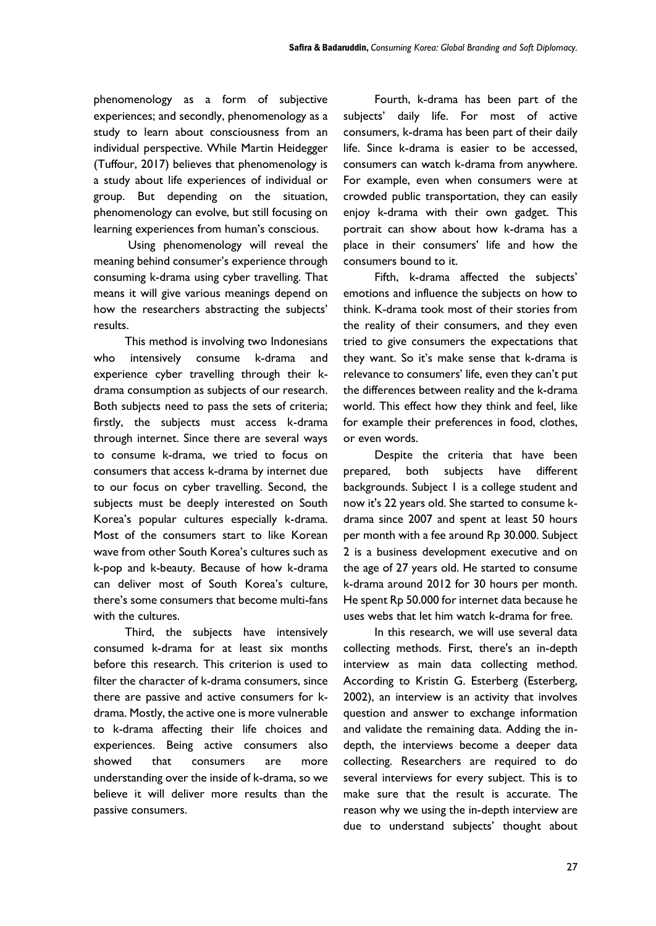phenomenology as a form of subjective experiences; and secondly, phenomenology as a study to learn about consciousness from an individual perspective. While Martin Heidegger (Tuffour, 2017) believes that phenomenology is a study about life experiences of individual or group. But depending on the situation, phenomenology can evolve, but still focusing on learning experiences from human's conscious.

Using phenomenology will reveal the meaning behind consumer's experience through consuming k-drama using cyber travelling. That means it will give various meanings depend on how the researchers abstracting the subjects' results.

This method is involving two Indonesians who intensively consume k-drama and experience cyber travelling through their kdrama consumption as subjects of our research. Both subjects need to pass the sets of criteria; firstly, the subjects must access k-drama through internet. Since there are several ways to consume k-drama, we tried to focus on consumers that access k-drama by internet due to our focus on cyber travelling. Second, the subjects must be deeply interested on South Korea's popular cultures especially k-drama. Most of the consumers start to like Korean wave from other South Korea's cultures such as k-pop and k-beauty. Because of how k-drama can deliver most of South Korea's culture, there's some consumers that become multi-fans with the cultures.

Third, the subjects have intensively consumed k-drama for at least six months before this research. This criterion is used to filter the character of k-drama consumers, since there are passive and active consumers for kdrama. Mostly, the active one is more vulnerable to k-drama affecting their life choices and experiences. Being active consumers also showed that consumers are more understanding over the inside of k-drama, so we believe it will deliver more results than the passive consumers.

Fourth, k-drama has been part of the subjects' daily life. For most of active consumers, k-drama has been part of their daily life. Since k-drama is easier to be accessed, consumers can watch k-drama from anywhere. For example, even when consumers were at crowded public transportation, they can easily enjoy k-drama with their own gadget. This portrait can show about how k-drama has a place in their consumers' life and how the consumers bound to it.

Fifth, k-drama affected the subjects' emotions and influence the subjects on how to think. K-drama took most of their stories from the reality of their consumers, and they even tried to give consumers the expectations that they want. So it's make sense that k-drama is relevance to consumers' life, even they can't put the differences between reality and the k-drama world. This effect how they think and feel, like for example their preferences in food, clothes, or even words.

Despite the criteria that have been prepared, both subjects have different backgrounds. Subject 1 is a college student and now it's 22 years old. She started to consume kdrama since 2007 and spent at least 50 hours per month with a fee around Rp 30.000. Subject 2 is a business development executive and on the age of 27 years old. He started to consume k-drama around 2012 for 30 hours per month. He spent Rp 50.000 for internet data because he uses webs that let him watch k-drama for free.

In this research, we will use several data collecting methods. First, there's an in-depth interview as main data collecting method. According to Kristin G. Esterberg (Esterberg, 2002), an interview is an activity that involves question and answer to exchange information and validate the remaining data. Adding the indepth, the interviews become a deeper data collecting. Researchers are required to do several interviews for every subject. This is to make sure that the result is accurate. The reason why we using the in-depth interview are due to understand subjects' thought about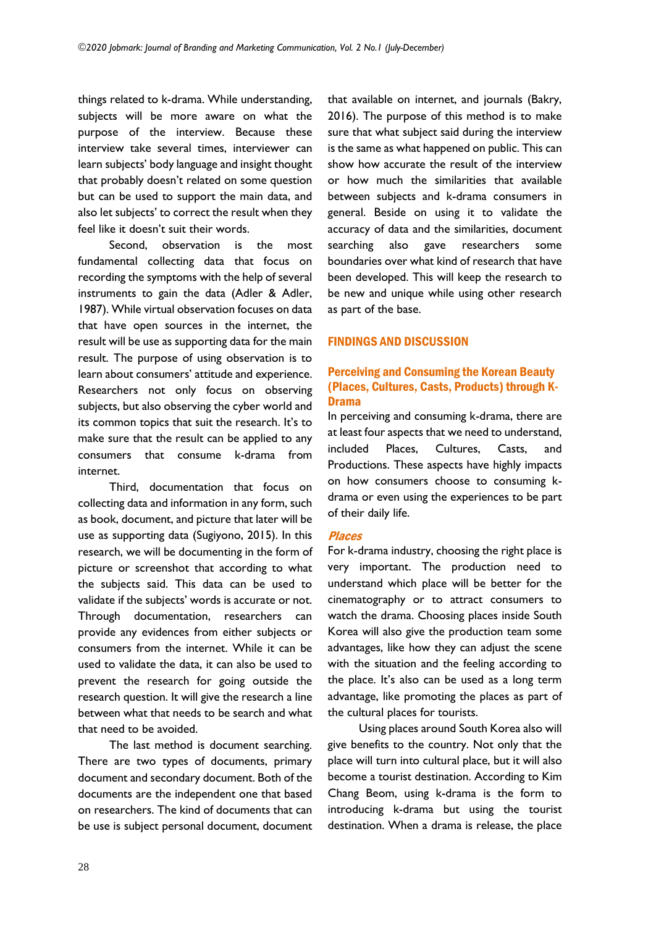things related to k-drama. While understanding, subjects will be more aware on what the purpose of the interview. Because these interview take several times, interviewer can learn subjects' body language and insight thought that probably doesn't related on some question but can be used to support the main data, and also let subjects' to correct the result when they feel like it doesn't suit their words.

Second, observation is the most fundamental collecting data that focus on recording the symptoms with the help of several instruments to gain the data (Adler & Adler, 1987). While virtual observation focuses on data that have open sources in the internet, the result will be use as supporting data for the main result. The purpose of using observation is to learn about consumers' attitude and experience. Researchers not only focus on observing subjects, but also observing the cyber world and its common topics that suit the research. It's to make sure that the result can be applied to any consumers that consume k-drama from internet.

Third, documentation that focus on collecting data and information in any form, such as book, document, and picture that later will be use as supporting data (Sugiyono, 2015). In this research, we will be documenting in the form of picture or screenshot that according to what the subjects said. This data can be used to validate if the subjects' words is accurate or not. Through documentation, researchers can provide any evidences from either subjects or consumers from the internet. While it can be used to validate the data, it can also be used to prevent the research for going outside the research question. It will give the research a line between what that needs to be search and what that need to be avoided.

The last method is document searching. There are two types of documents, primary document and secondary document. Both of the documents are the independent one that based on researchers. The kind of documents that can be use is subject personal document, document that available on internet, and journals (Bakry, 2016). The purpose of this method is to make sure that what subject said during the interview is the same as what happened on public. This can show how accurate the result of the interview or how much the similarities that available between subjects and k-drama consumers in general. Beside on using it to validate the accuracy of data and the similarities, document searching also gave researchers some boundaries over what kind of research that have been developed. This will keep the research to be new and unique while using other research as part of the base.

# FINDINGS AND DISCUSSION

# Perceiving and Consuming the Korean Beauty (Places, Cultures, Casts, Products) through K-Drama

In perceiving and consuming k-drama, there are at least four aspects that we need to understand, included Places, Cultures, Casts, and Productions. These aspects have highly impacts on how consumers choose to consuming kdrama or even using the experiences to be part of their daily life.

# Places

For k-drama industry, choosing the right place is very important. The production need to understand which place will be better for the cinematography or to attract consumers to watch the drama. Choosing places inside South Korea will also give the production team some advantages, like how they can adjust the scene with the situation and the feeling according to the place. It's also can be used as a long term advantage, like promoting the places as part of the cultural places for tourists.

Using places around South Korea also will give benefits to the country. Not only that the place will turn into cultural place, but it will also become a tourist destination. According to Kim Chang Beom, using k-drama is the form to introducing k-drama but using the tourist destination. When a drama is release, the place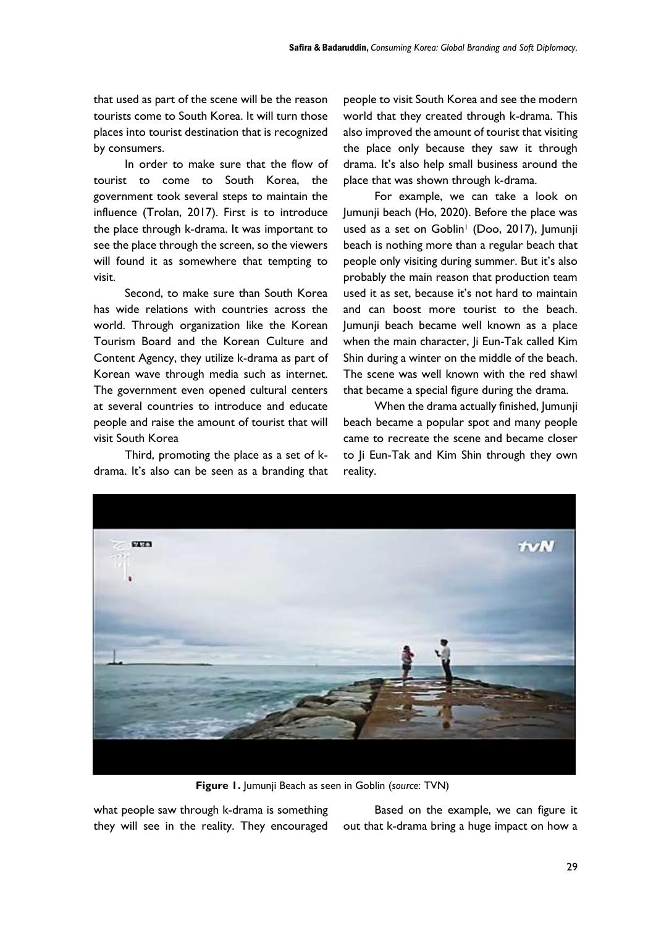that used as part of the scene will be the reason tourists come to South Korea. It will turn those places into tourist destination that is recognized by consumers.

In order to make sure that the flow of tourist to come to South Korea, the government took several steps to maintain the influence (Trolan, 2017). First is to introduce the place through k-drama. It was important to see the place through the screen, so the viewers will found it as somewhere that tempting to visit.

Second, to make sure than South Korea has wide relations with countries across the world. Through organization like the Korean Tourism Board and the Korean Culture and Content Agency, they utilize k-drama as part of Korean wave through media such as internet. The government even opened cultural centers at several countries to introduce and educate people and raise the amount of tourist that will visit South Korea

Third, promoting the place as a set of kdrama. It's also can be seen as a branding that people to visit South Korea and see the modern world that they created through k-drama. This also improved the amount of tourist that visiting the place only because they saw it through drama. It's also help small business around the place that was shown through k-drama.

For example, we can take a look on Jumunji beach (Ho, 2020). Before the place was used as a set on Goblin<sup>1</sup> (Doo, 2017), Jumunji beach is nothing more than a regular beach that people only visiting during summer. But it's also probably the main reason that production team used it as set, because it's not hard to maintain and can boost more tourist to the beach. Jumunji beach became well known as a place when the main character, Ji Eun-Tak called Kim Shin during a winter on the middle of the beach. The scene was well known with the red shawl that became a special figure during the drama.

When the drama actually finished, Jumunji beach became a popular spot and many people came to recreate the scene and became closer to Ji Eun-Tak and Kim Shin through they own reality.



**Figure 1.** Jumunji Beach as seen in Goblin (*source*: TVN)

what people saw through k-drama is something they will see in the reality. They encouraged

Based on the example, we can figure it out that k-drama bring a huge impact on how a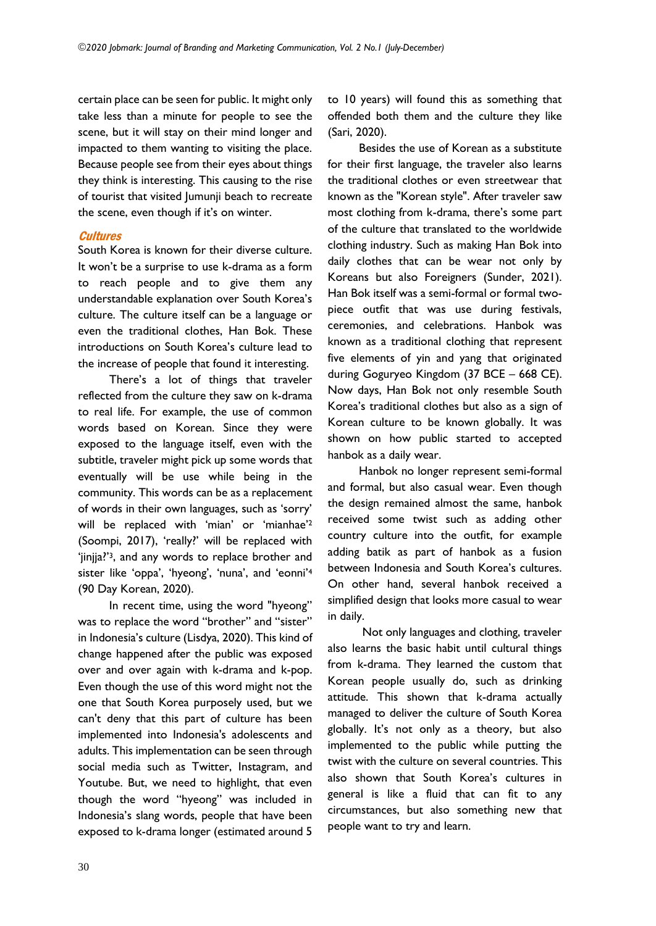certain place can be seen for public. It might only take less than a minute for people to see the scene, but it will stay on their mind longer and impacted to them wanting to visiting the place. Because people see from their eyes about things they think is interesting. This causing to the rise of tourist that visited Jumunji beach to recreate the scene, even though if it's on winter.

# **Cultures**

South Korea is known for their diverse culture. It won't be a surprise to use k-drama as a form to reach people and to give them any understandable explanation over South Korea's culture. The culture itself can be a language or even the traditional clothes, Han Bok. These introductions on South Korea's culture lead to the increase of people that found it interesting.

There's a lot of things that traveler reflected from the culture they saw on k-drama to real life. For example, the use of common words based on Korean. Since they were exposed to the language itself, even with the subtitle, traveler might pick up some words that eventually will be use while being in the community. This words can be as a replacement of words in their own languages, such as 'sorry' will be replaced with 'mian' or 'mianhae'<sup>2</sup> (Soompi, 2017), 'really?' will be replaced with 'jinjja?'3, and any words to replace brother and sister like 'oppa', 'hyeong', 'nuna', and 'eonni'<sup>4</sup> (90 Day Korean, 2020).

In recent time, using the word "hyeong" was to replace the word "brother" and "sister" in Indonesia's culture (Lisdya, 2020). This kind of change happened after the public was exposed over and over again with k-drama and k-pop. Even though the use of this word might not the one that South Korea purposely used, but we can't deny that this part of culture has been implemented into Indonesia's adolescents and adults. This implementation can be seen through social media such as Twitter, Instagram, and Youtube. But, we need to highlight, that even though the word "hyeong" was included in Indonesia's slang words, people that have been exposed to k-drama longer (estimated around 5

to 10 years) will found this as something that offended both them and the culture they like (Sari, 2020).

Besides the use of Korean as a substitute for their first language, the traveler also learns the traditional clothes or even streetwear that known as the "Korean style". After traveler saw most clothing from k-drama, there's some part of the culture that translated to the worldwide clothing industry. Such as making Han Bok into daily clothes that can be wear not only by Koreans but also Foreigners (Sunder, 2021). Han Bok itself was a semi-formal or formal twopiece outfit that was use during festivals, ceremonies, and celebrations. Hanbok was known as a traditional clothing that represent five elements of yin and yang that originated during Goguryeo Kingdom (37 BCE – 668 CE). Now days, Han Bok not only resemble South Korea's traditional clothes but also as a sign of Korean culture to be known globally. It was shown on how public started to accepted hanbok as a daily wear.

Hanbok no longer represent semi-formal and formal, but also casual wear. Even though the design remained almost the same, hanbok received some twist such as adding other country culture into the outfit, for example adding batik as part of hanbok as a fusion between Indonesia and South Korea's cultures. On other hand, several hanbok received a simplified design that looks more casual to wear in daily.

Not only languages and clothing, traveler also learns the basic habit until cultural things from k-drama. They learned the custom that Korean people usually do, such as drinking attitude. This shown that k-drama actually managed to deliver the culture of South Korea globally. It's not only as a theory, but also implemented to the public while putting the twist with the culture on several countries. This also shown that South Korea's cultures in general is like a fluid that can fit to any circumstances, but also something new that people want to try and learn.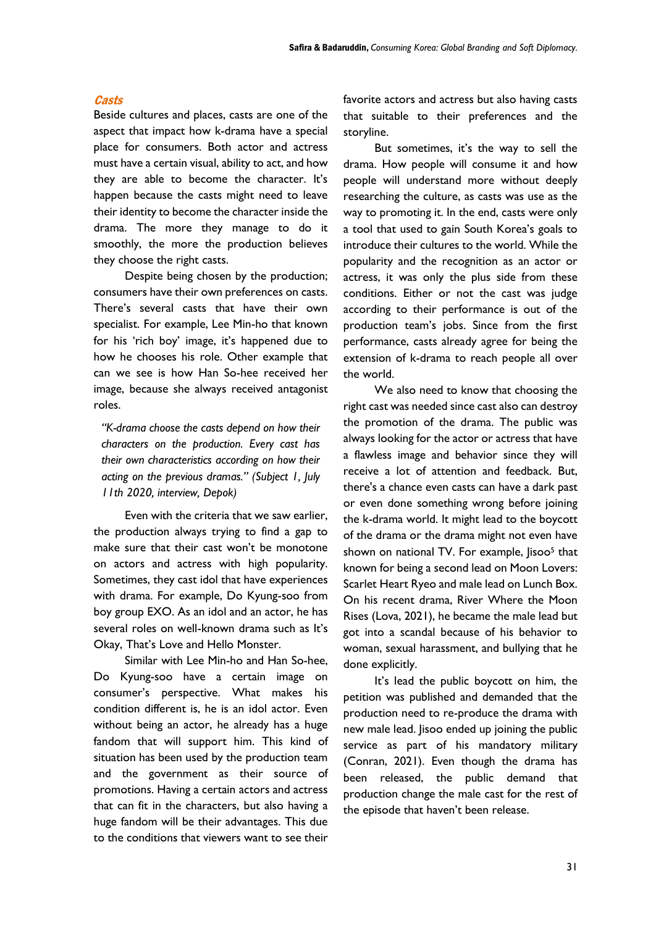#### **Casts**

Beside cultures and places, casts are one of the aspect that impact how k-drama have a special place for consumers. Both actor and actress must have a certain visual, ability to act, and how they are able to become the character. It's happen because the casts might need to leave their identity to become the character inside the drama. The more they manage to do it smoothly, the more the production believes they choose the right casts.

Despite being chosen by the production; consumers have their own preferences on casts. There's several casts that have their own specialist. For example, Lee Min-ho that known for his 'rich boy' image, it's happened due to how he chooses his role. Other example that can we see is how Han So-hee received her image, because she always received antagonist roles.

*"K-drama choose the casts depend on how their characters on the production. Every cast has their own characteristics according on how their acting on the previous dramas." (Subject 1, July 11th 2020, interview, Depok)*

Even with the criteria that we saw earlier, the production always trying to find a gap to make sure that their cast won't be monotone on actors and actress with high popularity. Sometimes, they cast idol that have experiences with drama. For example, Do Kyung-soo from boy group EXO. As an idol and an actor, he has several roles on well-known drama such as It's Okay, That's Love and Hello Monster.

Similar with Lee Min-ho and Han So-hee, Do Kyung-soo have a certain image on consumer's perspective. What makes his condition different is, he is an idol actor. Even without being an actor, he already has a huge fandom that will support him. This kind of situation has been used by the production team and the government as their source of promotions. Having a certain actors and actress that can fit in the characters, but also having a huge fandom will be their advantages. This due to the conditions that viewers want to see their

favorite actors and actress but also having casts that suitable to their preferences and the storyline.

But sometimes, it's the way to sell the drama. How people will consume it and how people will understand more without deeply researching the culture, as casts was use as the way to promoting it. In the end, casts were only a tool that used to gain South Korea's goals to introduce their cultures to the world. While the popularity and the recognition as an actor or actress, it was only the plus side from these conditions. Either or not the cast was judge according to their performance is out of the production team's jobs. Since from the first performance, casts already agree for being the extension of k-drama to reach people all over the world.

We also need to know that choosing the right cast was needed since cast also can destroy the promotion of the drama. The public was always looking for the actor or actress that have a flawless image and behavior since they will receive a lot of attention and feedback. But, there's a chance even casts can have a dark past or even done something wrong before joining the k-drama world. It might lead to the boycott of the drama or the drama might not even have shown on national TV. For example, Jisoo<sup>5</sup> that known for being a second lead on Moon Lovers: Scarlet Heart Ryeo and male lead on Lunch Box. On his recent drama, River Where the Moon Rises (Lova, 2021), he became the male lead but got into a scandal because of his behavior to woman, sexual harassment, and bullying that he done explicitly.

It's lead the public boycott on him, the petition was published and demanded that the production need to re-produce the drama with new male lead. Jisoo ended up joining the public service as part of his mandatory military (Conran, 2021). Even though the drama has been released, the public demand that production change the male cast for the rest of the episode that haven't been release.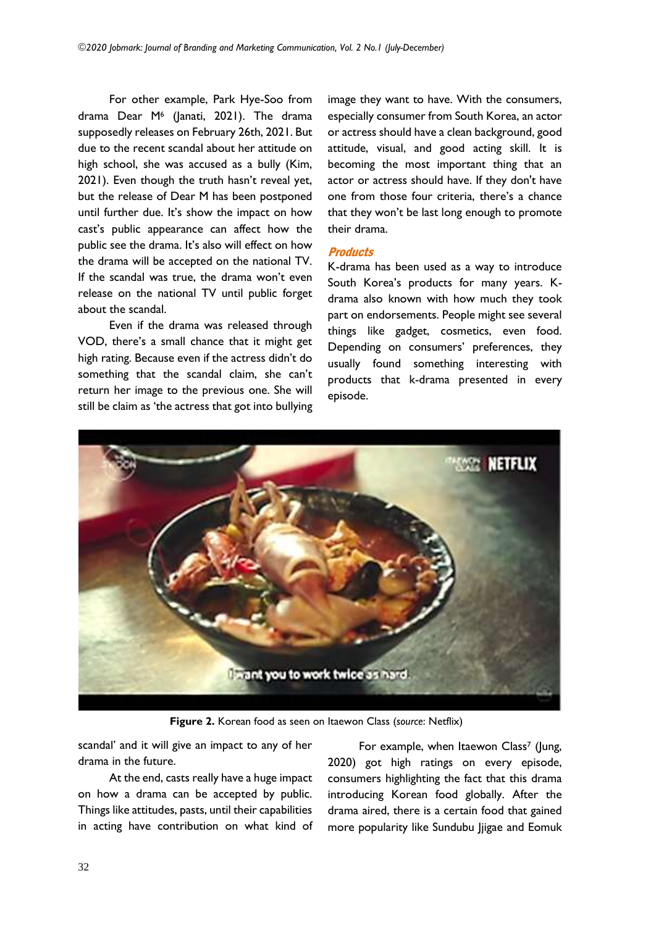For other example, Park Hye-Soo from drama Dear M<sup>6</sup> (Janati, 2021). The drama supposedly releases on February 26th, 2021. But due to the recent scandal about her attitude on high school, she was accused as a bully (Kim, 2021). Even though the truth hasn't reveal yet, but the release of Dear M has been postponed until further due. It's show the impact on how cast's public appearance can affect how the public see the drama. It's also will effect on how the drama will be accepted on the national TV. If the scandal was true, the drama won't even release on the national TV until public forget about the scandal.

Even if the drama was released through VOD, there's a small chance that it might get high rating. Because even if the actress didn't do something that the scandal claim, she can't return her image to the previous one. She will still be claim as 'the actress that got into bullying

image they want to have. With the consumers, especially consumer from South Korea, an actor or actress should have a clean background, good attitude, visual, and good acting skill. It is becoming the most important thing that an actor or actress should have. If they don't have one from those four criteria, there's a chance that they won't be last long enough to promote their drama.

## **Products**

K-drama has been used as a way to introduce South Korea's products for many years. Kdrama also known with how much they took part on endorsements. People might see several things like gadget, cosmetics, even food. Depending on consumers' preferences, they usually found something interesting with products that k-drama presented in every episode.



**Figure 2.** Korean food as seen on Itaewon Class (*source*: Netflix)

scandal' and it will give an impact to any of her drama in the future.

At the end, casts really have a huge impact on how a drama can be accepted by public. Things like attitudes, pasts, until their capabilities in acting have contribution on what kind of

For example, when Itaewon Class<sup>7</sup> (Jung, 2020) got high ratings on every episode, consumers highlighting the fact that this drama introducing Korean food globally. After the drama aired, there is a certain food that gained more popularity like Sundubu Jjigae and Eomuk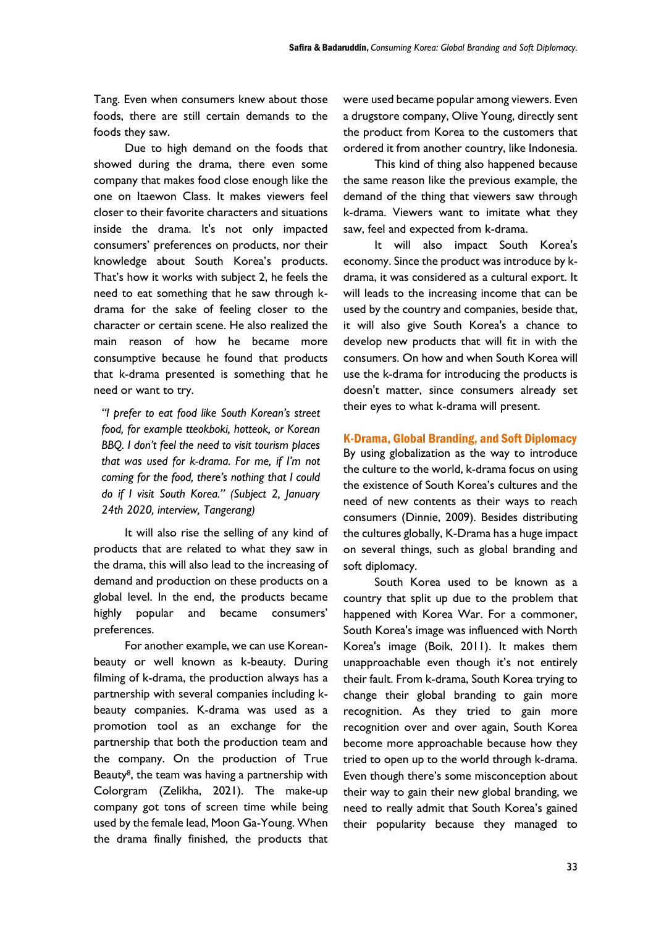Tang. Even when consumers knew about those foods, there are still certain demands to the foods they saw.

Due to high demand on the foods that showed during the drama, there even some company that makes food close enough like the one on Itaewon Class. It makes viewers feel closer to their favorite characters and situations inside the drama. It's not only impacted consumers' preferences on products, nor their knowledge about South Korea's products. That's how it works with subject 2, he feels the need to eat something that he saw through kdrama for the sake of feeling closer to the character or certain scene. He also realized the main reason of how he became more consumptive because he found that products that k-drama presented is something that he need or want to try.

*"I prefer to eat food like South Korean's street food, for example tteokboki, hotteok, or Korean BBQ. I don't feel the need to visit tourism places that was used for k-drama. For me, if I'm not coming for the food, there's nothing that I could do if I visit South Korea." (Subject 2, January 24th 2020, interview, Tangerang)*

It will also rise the selling of any kind of products that are related to what they saw in the drama, this will also lead to the increasing of demand and production on these products on a global level. In the end, the products became highly popular and became consumers' preferences.

For another example, we can use Koreanbeauty or well known as k-beauty. During filming of k-drama, the production always has a partnership with several companies including kbeauty companies. K-drama was used as a promotion tool as an exchange for the partnership that both the production team and the company. On the production of True Beauty<sup>8</sup>, the team was having a partnership with Colorgram (Zelikha, 2021). The make-up company got tons of screen time while being used by the female lead, Moon Ga-Young. When the drama finally finished, the products that were used became popular among viewers. Even a drugstore company, Olive Young, directly sent the product from Korea to the customers that ordered it from another country, like Indonesia.

This kind of thing also happened because the same reason like the previous example, the demand of the thing that viewers saw through k-drama. Viewers want to imitate what they saw, feel and expected from k-drama.

It will also impact South Korea's economy. Since the product was introduce by kdrama, it was considered as a cultural export. It will leads to the increasing income that can be used by the country and companies, beside that, it will also give South Korea's a chance to develop new products that will fit in with the consumers. On how and when South Korea will use the k-drama for introducing the products is doesn't matter, since consumers already set their eyes to what k-drama will present.

## K-Drama, Global Branding, and Soft Diplomacy

By using globalization as the way to introduce the culture to the world, k-drama focus on using the existence of South Korea's cultures and the need of new contents as their ways to reach consumers (Dinnie, 2009). Besides distributing the cultures globally, K-Drama has a huge impact on several things, such as global branding and soft diplomacy.

South Korea used to be known as a country that split up due to the problem that happened with Korea War. For a commoner, South Korea's image was influenced with North Korea's image (Boik, 2011). It makes them unapproachable even though it's not entirely their fault. From k-drama, South Korea trying to change their global branding to gain more recognition. As they tried to gain more recognition over and over again, South Korea become more approachable because how they tried to open up to the world through k-drama. Even though there's some misconception about their way to gain their new global branding, we need to really admit that South Korea's gained their popularity because they managed to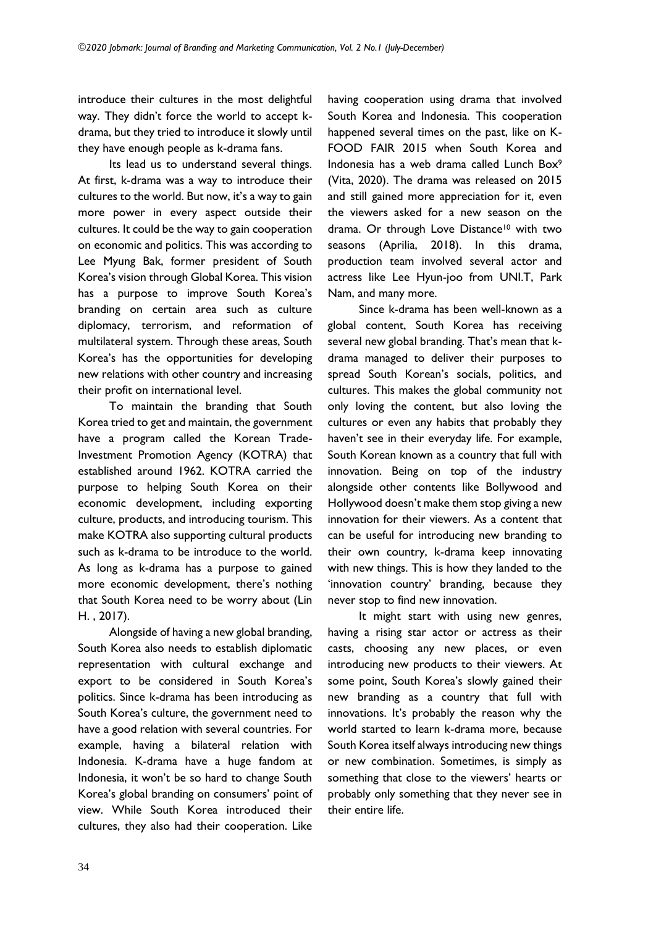introduce their cultures in the most delightful way. They didn't force the world to accept kdrama, but they tried to introduce it slowly until they have enough people as k-drama fans.

Its lead us to understand several things. At first, k-drama was a way to introduce their cultures to the world. But now, it's a way to gain more power in every aspect outside their cultures. It could be the way to gain cooperation on economic and politics. This was according to Lee Myung Bak, former president of South Korea's vision through Global Korea. This vision has a purpose to improve South Korea's branding on certain area such as culture diplomacy, terrorism, and reformation of multilateral system. Through these areas, South Korea's has the opportunities for developing new relations with other country and increasing their profit on international level.

To maintain the branding that South Korea tried to get and maintain, the government have a program called the Korean Trade-Investment Promotion Agency (KOTRA) that established around 1962. KOTRA carried the purpose to helping South Korea on their economic development, including exporting culture, products, and introducing tourism. This make KOTRA also supporting cultural products such as k-drama to be introduce to the world. As long as k-drama has a purpose to gained more economic development, there's nothing that South Korea need to be worry about (Lin H. , 2017).

Alongside of having a new global branding, South Korea also needs to establish diplomatic representation with cultural exchange and export to be considered in South Korea's politics. Since k-drama has been introducing as South Korea's culture, the government need to have a good relation with several countries. For example, having a bilateral relation with Indonesia. K-drama have a huge fandom at Indonesia, it won't be so hard to change South Korea's global branding on consumers' point of view. While South Korea introduced their cultures, they also had their cooperation. Like having cooperation using drama that involved South Korea and Indonesia. This cooperation happened several times on the past, like on K-FOOD FAIR 2015 when South Korea and Indonesia has a web drama called Lunch Box<sup>9</sup> (Vita, 2020). The drama was released on 2015 and still gained more appreciation for it, even the viewers asked for a new season on the drama. Or through Love Distance<sup>10</sup> with two seasons (Aprilia, 2018). In this drama, production team involved several actor and actress like Lee Hyun-joo from UNI.T, Park Nam, and many more.

Since k-drama has been well-known as a global content, South Korea has receiving several new global branding. That's mean that kdrama managed to deliver their purposes to spread South Korean's socials, politics, and cultures. This makes the global community not only loving the content, but also loving the cultures or even any habits that probably they haven't see in their everyday life. For example, South Korean known as a country that full with innovation. Being on top of the industry alongside other contents like Bollywood and Hollywood doesn't make them stop giving a new innovation for their viewers. As a content that can be useful for introducing new branding to their own country, k-drama keep innovating with new things. This is how they landed to the 'innovation country' branding, because they never stop to find new innovation.

It might start with using new genres, having a rising star actor or actress as their casts, choosing any new places, or even introducing new products to their viewers. At some point, South Korea's slowly gained their new branding as a country that full with innovations. It's probably the reason why the world started to learn k-drama more, because South Korea itself always introducing new things or new combination. Sometimes, is simply as something that close to the viewers' hearts or probably only something that they never see in their entire life.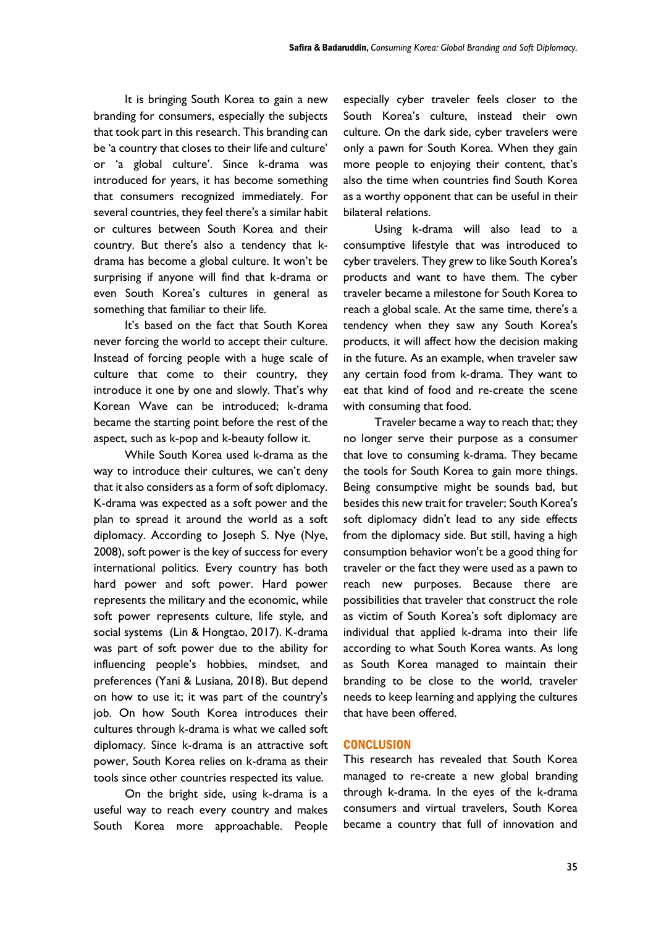It is bringing South Korea to gain a new branding for consumers, especially the subjects that took part in this research. This branding can be 'a country that closes to their life and culture' or 'a global culture'. Since k-drama was introduced for years, it has become something that consumers recognized immediately. For several countries, they feel there's a similar habit or cultures between South Korea and their country. But there's also a tendency that kdrama has become a global culture. It won't be surprising if anyone will find that k-drama or even South Korea's cultures in general as something that familiar to their life.

It's based on the fact that South Korea never forcing the world to accept their culture. Instead of forcing people with a huge scale of culture that come to their country, they introduce it one by one and slowly. That's why Korean Wave can be introduced; k-drama became the starting point before the rest of the aspect, such as k-pop and k-beauty follow it.

While South Korea used k-drama as the way to introduce their cultures, we can't deny that it also considers as a form of soft diplomacy. K-drama was expected as a soft power and the plan to spread it around the world as a soft diplomacy. According to Joseph S. Nye (Nye, 2008), soft power is the key of success for every international politics. Every country has both hard power and soft power. Hard power represents the military and the economic, while soft power represents culture, life style, and social systems (Lin & Hongtao, 2017). K-drama was part of soft power due to the ability for influencing people's hobbies, mindset, and preferences (Yani & Lusiana, 2018). But depend on how to use it; it was part of the country's job. On how South Korea introduces their cultures through k-drama is what we called soft diplomacy. Since k-drama is an attractive soft power, South Korea relies on k-drama as their tools since other countries respected its value.

On the bright side, using k-drama is a useful way to reach every country and makes South Korea more approachable. People especially cyber traveler feels closer to the South Korea's culture, instead their own culture. On the dark side, cyber travelers were only a pawn for South Korea. When they gain more people to enjoying their content, that's also the time when countries find South Korea as a worthy opponent that can be useful in their bilateral relations.

Using k-drama will also lead to a consumptive lifestyle that was introduced to cyber travelers. They grew to like South Korea's products and want to have them. The cyber traveler became a milestone for South Korea to reach a global scale. At the same time, there's a tendency when they saw any South Korea's products, it will affect how the decision making in the future. As an example, when traveler saw any certain food from k-drama. They want to eat that kind of food and re-create the scene with consuming that food.

Traveler became a way to reach that; they no longer serve their purpose as a consumer that love to consuming k-drama. They became the tools for South Korea to gain more things. Being consumptive might be sounds bad, but besides this new trait for traveler; South Korea's soft diplomacy didn't lead to any side effects from the diplomacy side. But still, having a high consumption behavior won't be a good thing for traveler or the fact they were used as a pawn to reach new purposes. Because there are possibilities that traveler that construct the role as victim of South Korea's soft diplomacy are individual that applied k-drama into their life according to what South Korea wants. As long as South Korea managed to maintain their branding to be close to the world, traveler needs to keep learning and applying the cultures that have been offered.

## **CONCLUSION**

This research has revealed that South Korea managed to re-create a new global branding through k-drama. In the eyes of the k-drama consumers and virtual travelers, South Korea became a country that full of innovation and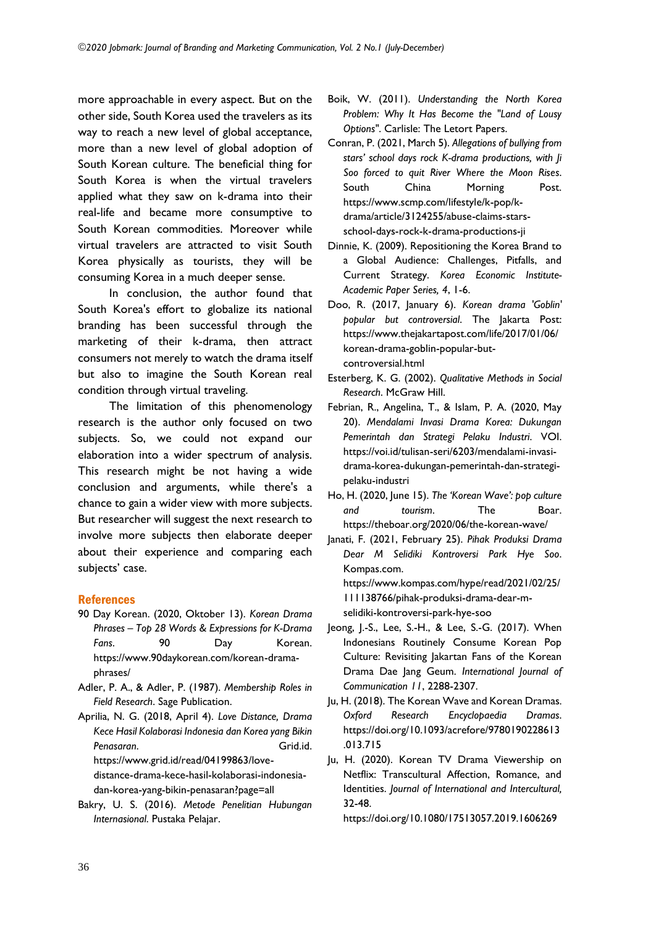more approachable in every aspect. But on the other side, South Korea used the travelers as its way to reach a new level of global acceptance, more than a new level of global adoption of South Korean culture. The beneficial thing for South Korea is when the virtual travelers applied what they saw on k-drama into their real-life and became more consumptive to South Korean commodities. Moreover while virtual travelers are attracted to visit South Korea physically as tourists, they will be consuming Korea in a much deeper sense.

In conclusion, the author found that South Korea's effort to globalize its national branding has been successful through the marketing of their k-drama, then attract consumers not merely to watch the drama itself but also to imagine the South Korean real condition through virtual traveling.

The limitation of this phenomenology research is the author only focused on two subjects. So, we could not expand our elaboration into a wider spectrum of analysis. This research might be not having a wide conclusion and arguments, while there's a chance to gain a wider view with more subjects. But researcher will suggest the next research to involve more subjects then elaborate deeper about their experience and comparing each subjects' case.

## References

- 90 Day Korean. (2020, Oktober 13). *Korean Drama Phrases – Top 28 Words & Expressions for K-Drama Fans*. 90 Day Korean. https://www.90daykorean.com/korean-dramaphrases/
- Adler, P. A., & Adler, P. (1987). *Membership Roles in Field Research*. Sage Publication.
- Aprilia, N. G. (2018, April 4). *Love Distance, Drama Kece Hasil Kolaborasi Indonesia dan Korea yang Bikin*  Penasaran. **Grid.id.** Grid.id. https://www.grid.id/read/04199863/lovedistance-drama-kece-hasil-kolaborasi-indonesiadan-korea-yang-bikin-penasaran?page=all
- Bakry, U. S. (2016). *Metode Penelitian Hubungan Internasional*. Pustaka Pelajar.
- Boik, W. (2011). *Understanding the North Korea Problem: Why It Has Become the "Land of Lousy Options"*. Carlisle: The Letort Papers.
- Conran, P. (2021, March 5). *Allegations of bullying from stars' school days rock K-drama productions, with Ji Soo forced to quit River Where the Moon Rises*. South China Morning Post. https://www.scmp.com/lifestyle/k-pop/kdrama/article/3124255/abuse-claims-starsschool-days-rock-k-drama-productions-ji
- Dinnie, K. (2009). Repositioning the Korea Brand to a Global Audience: Challenges, Pitfalls, and Current Strategy. *Korea Economic Institute-Academic Paper Series, 4*, 1-6.
- Doo, R. (2017, January 6). *Korean drama 'Goblin' popular but controversial*. The Jakarta Post: https://www.thejakartapost.com/life/2017/01/06/ korean-drama-goblin-popular-butcontroversial.html
- Esterberg, K. G. (2002). *Qualitative Methods in Social Research*. McGraw Hill.
- Febrian, R., Angelina, T., & Islam, P. A. (2020, May 20). *Mendalami Invasi Drama Korea: Dukungan Pemerintah dan Strategi Pelaku Industri*. VOI. https://voi.id/tulisan-seri/6203/mendalami-invasidrama-korea-dukungan-pemerintah-dan-strategipelaku-industri
- Ho, H. (2020, June 15). *The 'Korean Wave': pop culture and tourism*. The Boar. https://theboar.org/2020/06/the-korean-wave/
- Janati, F. (2021, February 25). *Pihak Produksi Drama Dear M Selidiki Kontroversi Park Hye Soo*. Kompas.com.

https://www.kompas.com/hype/read/2021/02/25/ 111138766/pihak-produksi-drama-dear-mselidiki-kontroversi-park-hye-soo

- Jeong, J.-S., Lee, S.-H., & Lee, S.-G. (2017). When Indonesians Routinely Consume Korean Pop Culture: Revisiting Jakartan Fans of the Korean Drama Dae Jang Geum. *International Journal of Communication 11*, 2288-2307.
- Ju, H. (2018). The Korean Wave and Korean Dramas*. Oxford Research Encyclopaedia Dramas*. https://doi.org/10.1093/acrefore/9780190228613 .013.715
- Ju, H. (2020). Korean TV Drama Viewership on Netflix: Transcultural Affection, Romance, and Identities. *Journal of International and Intercultural,* 32-48.

https://doi.org/10.1080/17513057.2019.1606269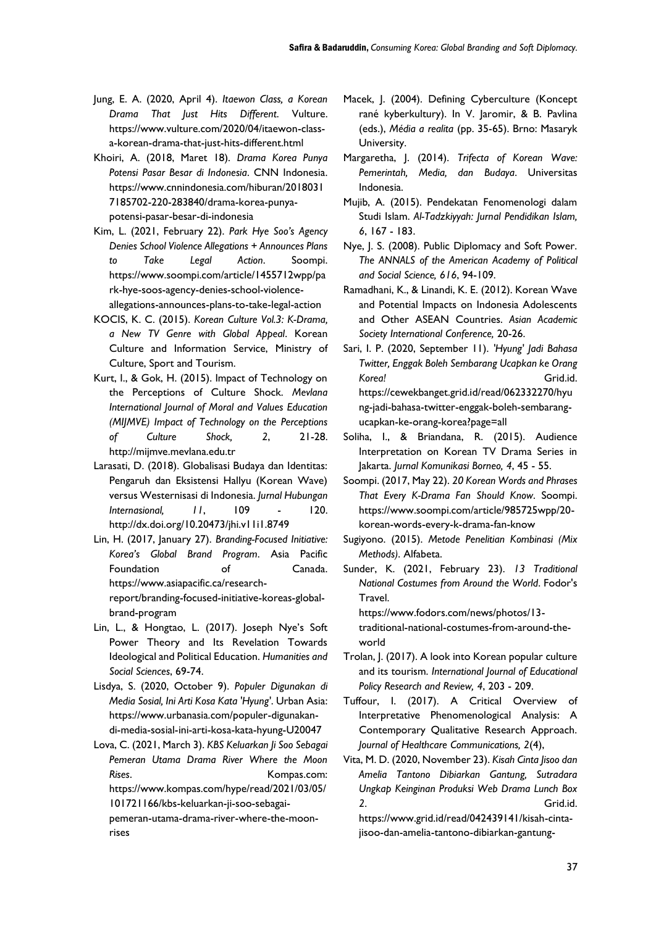- Jung, E. A. (2020, April 4). *Itaewon Class, a Korean Drama That Just Hits Different*. Vulture. https://www.vulture.com/2020/04/itaewon-classa-korean-drama-that-just-hits-different.html
- Khoiri, A. (2018, Maret 18). *Drama Korea Punya Potensi Pasar Besar di Indonesia*. CNN Indonesia. https://www.cnnindonesia.com/hiburan/2018031 7185702-220-283840/drama-korea-punyapotensi-pasar-besar-di-indonesia
- Kim, L. (2021, February 22). *Park Hye Soo's Agency Denies School Violence Allegations + Announces Plans to Take Legal Action*. Soompi. https://www.soompi.com/article/1455712wpp/pa rk-hye-soos-agency-denies-school-violenceallegations-announces-plans-to-take-legal-action
- KOCIS, K. C. (2015). *Korean Culture Vol.3: K-Drama, a New TV Genre with Global Appeal*. Korean Culture and Information Service, Ministry of Culture, Sport and Tourism.
- Kurt, I., & Gok, H. (2015). Impact of Technology on the Perceptions of Culture Shock. *Mevlana International Journal of Moral and Values Education (MIJMVE) Impact of Technology on the Perceptions of Culture Shock, 2*, 21-28. http://mijmve.mevlana.edu.tr
- Larasati, D. (2018). Globalisasi Budaya dan Identitas: Pengaruh dan Eksistensi Hallyu (Korean Wave) versus Westernisasi di Indonesia. *Jurnal Hubungan Internasional, 11*, 109 - 120. http://dx.doi.org/10.20473/jhi.v11i1.8749
- Lin, H. (2017, January 27). *Branding-Focused Initiative: Korea's Global Brand Program*. Asia Pacific Foundation of Canada. https://www.asiapacific.ca/researchreport/branding-focused-initiative-koreas-globalbrand-program
- Lin, L., & Hongtao, L. (2017). Joseph Nye's Soft Power Theory and Its Revelation Towards Ideological and Political Education. *Humanities and Social Sciences*, 69-74.
- Lisdya, S. (2020, October 9). *Populer Digunakan di Media Sosial, Ini Arti Kosa Kata 'Hyung'*. Urban Asia: https://www.urbanasia.com/populer-digunakandi-media-sosial-ini-arti-kosa-kata-hyung-U20047

Lova, C. (2021, March 3). *KBS Keluarkan Ji Soo Sebagai Pemeran Utama Drama River Where the Moon Rises*. Kompas.com:

https://www.kompas.com/hype/read/2021/03/05/ 101721166/kbs-keluarkan-ji-soo-sebagai-

pemeran-utama-drama-river-where-the-moonrises

- Macek, J. (2004). Defining Cyberculture (Koncept rané kyberkultury). In V. Jaromir, & B. Pavlina (eds.), *Média a realita* (pp. 35-65). Brno: Masaryk University.
- Margaretha, J. (2014). *Trifecta of Korean Wave: Pemerintah, Media, dan Budaya*. Universitas Indonesia.
- Mujib, A. (2015). Pendekatan Fenomenologi dalam Studi Islam. *Al-Tadzkiyyah: Jurnal Pendidikan Islam, 6*, 167 - 183.
- Nye, J. S. (2008). Public Diplomacy and Soft Power. *The ANNALS of the American Academy of Political and Social Science, 616*, 94-109.
- Ramadhani, K., & Linandi, K. E. (2012). Korean Wave and Potential Impacts on Indonesia Adolescents and Other ASEAN Countries. *Asian Academic Society International Conference,* 20-26.
- Sari, I. P. (2020, September 11). *'Hyung' Jadi Bahasa Twitter, Enggak Boleh Sembarang Ucapkan ke Orang*  Korea! Grid.id. https://cewekbanget.grid.id/read/062332270/hyu ng-jadi-bahasa-twitter-enggak-boleh-sembarangucapkan-ke-orang-korea?page=all
- Soliha, I., & Briandana, R. (2015). Audience Interpretation on Korean TV Drama Series in Jakarta. *Jurnal Komunikasi Borneo, 4*, 45 - 55.
- Soompi. (2017, May 22). *20 Korean Words and Phrases That Every K-Drama Fan Should Know*. Soompi. https://www.soompi.com/article/985725wpp/20 korean-words-every-k-drama-fan-know
- Sugiyono. (2015). *Metode Penelitian Kombinasi (Mix Methods)*. Alfabeta.
- Sunder, K. (2021, February 23). *13 Traditional National Costumes from Around the World*. Fodor's Travel.

https://www.fodors.com/news/photos/13 traditional-national-costumes-from-around-theworld

- Trolan, J. (2017). A look into Korean popular culture and its tourism. *International Journal of Educational Policy Research and Review, 4*, 203 - 209.
- Tuffour, I. (2017). A Critical Overview of Interpretative Phenomenological Analysis: A Contemporary Qualitative Research Approach. *Journal of Healthcare Communications, 2*(4),
- Vita, M. D. (2020, November 23). *Kisah Cinta Jisoo dan Amelia Tantono Dibiarkan Gantung, Sutradara Ungkap Keinginan Produksi Web Drama Lunch Box 2*. Grid.id.

https://www.grid.id/read/042439141/kisah-cintajisoo-dan-amelia-tantono-dibiarkan-gantung